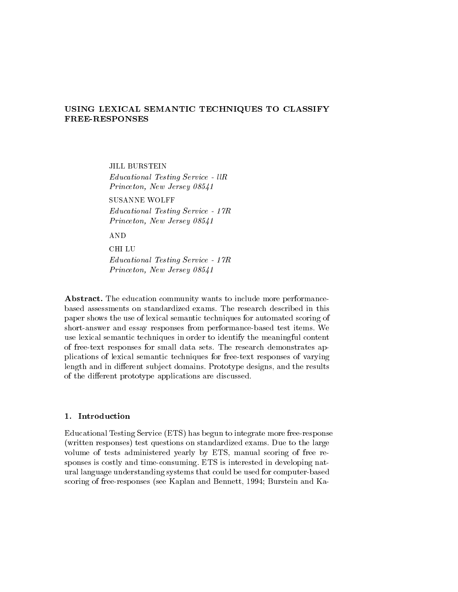# USING LEXICAL SEMANTIC TECHNIQUES TO CLASSIFY **FREE-RESPONSES**

JILL BURSTEIN  $Educational Testing Service - l l R$ Princeton, New Jersey 08541

SUSANNE WOLFF Educational Testing Service - 17R Princeton, New Jersey 08541

**AND** 

**CHILU** Educational Testing Service - 17R Princeton, New Jersey 08541

Abstract. The education community wants to include more performancebased assessments on standardized exams. The research described in this paper shows the use of lexical semantic techniques for automated scoring of short-answer and essay responses from performance-based test items. We use lexical semantic techniques in order to identify the meaningful content of free-text responses for small data sets. The research demonstrates applications of lexical semantic techniques for free-text responses of varying length and in different subject domains. Prototype designs, and the results of the different prototype applications are discussed.

## 1. Introduction

Educational Testing Service (ETS) has begun to integrate more free-response (written responses) test questions on standardized exams. Due to the large volume of tests administered yearly by ETS, manual scoring of free responses is costly and time-consuming. ETS is interested in developing natural language understanding systems that could be used for computer-based scoring of free-responses (see Kaplan and Bennett, 1994; Burstein and Ka-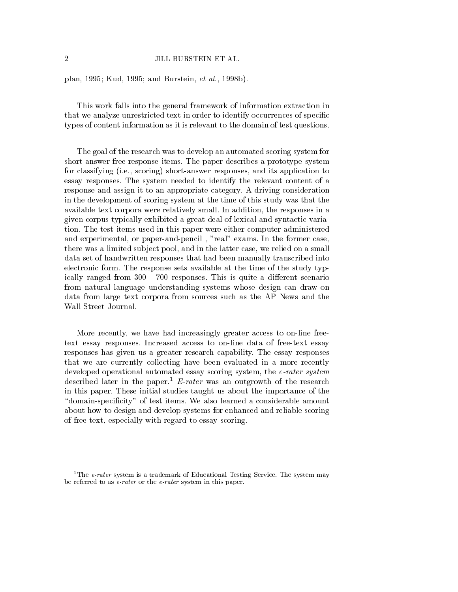# 2 JILL BURSTEIN ET AL.

plan, 1995; Kud, 1995; and Burstein, et al., 1998b).

This work falls into the general framework of information extraction in that we analyze unrestricted text in order to identify occurrences of specific types of content information as it is relevant to the domain of test questions.

The goal of the research was to develop an automated scoring system for short-answer free-response items. The paper describes a prototype system for classifying (i.e., scoring) short-answer responses, and its application to essay responses. The system needed to identify the relevant content of a response and assign it to an appropriate category. A driving consideration in the development of scoring system at the time of this study was that the available text corpora were relatively small. In addition, the responses in a given corpus typically exhibited a great deal of lexical and syntactic variation. The test items used in this paper were either computer-administered and experimental, or paper-and-pencil , "real" exams. In the former case, there was a limited subject pool, and in the latter case, we relied on a small data set of handwritten responses that had been manually transcribed into electronic form. The response sets available at the time of the study typically ranged from 300 - 700 responses. This is quite a different scenario from natural language understanding systems whose design can draw on data from large text corpora from sources such as the AP News and the Wall Street Journal.

More recently, we have had increasingly greater access to on-line freetext essay responses. Increased access to on-line data of free-text essay responses has given us a greater research capability. The essay responses that we are currently collecting have been evaluated in a more recently developed operational automated essay scoring system, the e-rater system described later in the paper.<sup>1</sup> E-rater was an outgrowth of the research in this paper. These initial studies taught us about the importance of the "domain-specificity" of test items. We also learned a considerable amount about how to design and develop systems for enhanced and reliable scoring of free-text, especially with regard to essay scoring.

<sup>&</sup>lt;sup>1</sup>The *e-rater* system is a trademark of Educational Testing Service. The system may be referred to as e-rater or the e-rater system in this paper.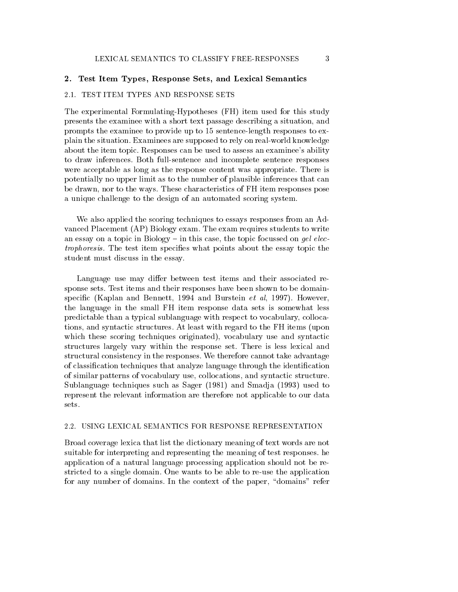## 2. Test Item Types, Response Sets, and Lexical Semantics

# 2.1. TEST ITEM TYPES AND RESPONSE SETS

The experimental Formulating-Hypotheses (FH) item used for this study presents the examinee with a short text passage describing a situation, and prompts the examinee to provide up to 15 sentence-length responses to explain the situation. Examinees are supposed to rely on real-world knowledge about the item topic. Responses can be used to assess an examinee's ability to draw inferences. Both full-sentence and incomplete sentence responses were acceptable as long as the response content was appropriate. There is potentially no upper limit as to the number of plausible inferences that can be drawn, nor to the ways. These characteristics of FH item responses pose a unique challenge to the design of an automated scoring system.

We also applied the scoring techniques to essays responses from an Advanced Placement (AP) Biology exam. The exam requires students to write an essay on a topic in Biology  $-$  in this case, the topic focussed on gel electrophoresis. The test item specifies what points about the essay topic the student must discuss in the essay.

Language use may differ between test items and their associated response sets. Test items and their responses have been shown to be domainspecific (Kaplan and Bennett, 1994 and Burstein  $et \ al.$  1997). However, the language in the small FH item response data sets is somewhat less predictable than a typical sublanguage with respect to vocabulary, collocations, and syntactic structures. At least with regard to the FH items (upon which these scoring techniques originated), vocabulary use and syntactic structures largely vary within the response set. There is less lexical and structural consistency in the responses. We therefore cannot take advantage of classification techniques that analyze language through the identification of similar patterns of vocabulary use, collocations, and syntactic structure. Sublanguage techniques such as Sager (1981) and Smadja (1993) used to represent the relevant information are therefore not applicable to our data sets.

#### 2.2. USING LEXICAL SEMANTICS FOR RESPONSE REPRESENTATION

Broad coverage lexica that list the dictionary meaning of text words are not suitable for interpreting and representing the meaning of test responses. he application of a natural language processing application should not be restricted to a single domain. One wants to be able to re-use the application for any number of domains. In the context of the paper, "domains" refer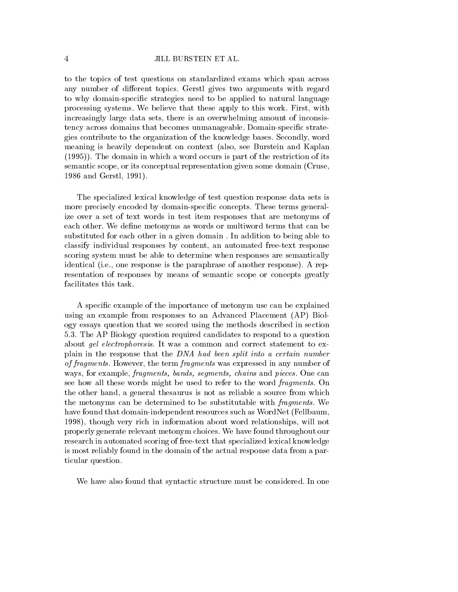to the topics of test questions on standardized exams which span across any number of different topics. Gerstl gives two arguments with regard to why domain-specic strategies need to be applied to natural language processing systems. We believe that these apply to this work. First, with increasingly large data sets, there is an overwhelming amount of inconsistency across domains that becomes unmanageable. Domain-specific strategies contribute to the organization of the knowledge bases. Secondly, word meaning is heavily dependent on context (also, see Burstein and Kaplan (1995)). The domain in which a word occurs is part of the restriction of its semantic scope, or its conceptual representation given some domain (Cruse, 1986 and Gerstl, 1991).

The specialized lexical knowledge of test question response data sets is more precisely encoded by domain-specific concepts. These terms generalize over a set of text words in test item responses that are metonyms of each other. We define metonyms as words or multiword terms that can be substituted for each other in a given domain . In addition to being able to classify individual responses by content, an automated free-text response scoring system must be able to determine when responses are semantically identical (i.e., one response is the paraphrase of another response). A representation of responses by means of semantic scope or concepts greatly facilitates this task.

A specic example of the importance of metonym use can be explained using an example from responses to an Advanced Placement (AP) Biology essays question that we scored using the methods described in section 5.3. The AP Biology question required candidates to respond to a question about gel electrophoresis. It was a common and correct statement to explain in the response that the DNA had been split into a certain number of fragments. However, the term fragments was expressed in any number of ways, for example, fragments, bands, segments, chains and pieces. One can see how all these words might be used to refer to the word fragments. On the other hand, a general thesaurus is not as reliable a source from which the metonyms can be determined to be substitutable with fragments. We have found that domain-independent resources such as WordNet (Fellbaum, 1998), though very rich in information about word relationships, will not properly generate relevant metonym choices. We have found throughout our research in automated scoring of free-text that specialized lexical knowledge is most reliably found in the domain of the actual response data from a particular question.

We have also found that syntactic structure must be considered. In one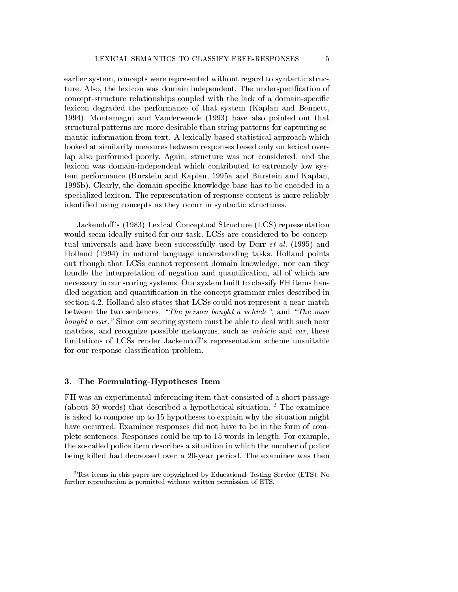earlier system, concepts were represented without regard to syntactic structure. Also, the lexicon was domain independent. The underspecication of concept-structure relationships coupled with the lack of a domain-specic lexicon degraded the performance of that system (Kaplan and Bennett, 1994). Montemagni and Vanderwende (1993) have also pointed out that structural patterns are more desirable than string patterns for capturing semantic information from text. A lexically-based statistical approach which looked at similarity measures between responses based only on lexical overlap also performed poorly. Again, structure was not considered, and the lexicon was domain-independent which contributed to extremely low system performance (Burstein and Kaplan, 1995a and Burstein and Kaplan, 1995b). Clearly, the domain specic knowledge base has to be encoded in a specialized lexicon. The representation of response content is more reliably identied using concepts as they occur in syntactic structures.

Jackendoff's (1983) Lexical Conceptual Structure (LCS) representation would seem ideally suited for our task. LCSs are considered to be conceptual universals and have been successfully used by Dorr et al. (1995) and Holland (1994) in natural language understanding tasks. Holland points out though that LCSs cannot represent domain knowledge, nor can they handle the interpretation of negation and quantification, all of which are necessary in our scoring systems. Our system built to classify FH items handled negation and quantication in the concept grammar rules described in section 4.2. Holland also states that LCSs could not represent a near-match between the two sentences, "The person bought a vehicle", and "The man bought a car." Since our scoring system must be able to deal with such near matches, and recognize possible metonyms, such as vehicle and car, these limitations of LCSs render Jackendoff's representation scheme unsuitable for our response classication problem.

#### $3.$ The Formulating-Hypotheses Item

FH was an experimental inferencing item that consisted of a short passage (about 30 words) that described a hypothetical situation.  $2$  The examinee is asked to compose up to 15 hypotheses to explain why the situation might have occurred. Examinee responses did not have to be in the form of complete sentences. Responses could be up to 15 words in length. For example, the so-called police item describes a situation in which the number of police being killed had decreased over a 20-year period. The examinee was then

<sup>2</sup>Test items in this paper are copyrighted by Educational Testing Service (ETS). No further reproduction is permitted without written permission of ETS.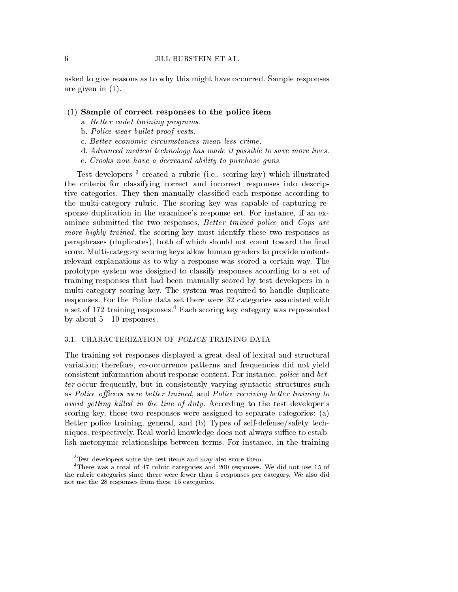asked to give reasons as to why this might have occurred. Sample responses are given in (1).

### $(1)$  Sample of correct responses to the police item

- a. Better cadet training programs.
- b. Police wear bullet-proof vests.
- c. Better economic circumstances mean less crime.
- d. Advanced medical technology has made it possible to save more lives.
- e. Crooks now have a decreased ability to purchase guns.

Test developers <sup>3</sup> created a rubric (i.e., scoring key) which illustrated the criteria for classifying correct and incorrect responses into descriptive categories. They then manually classied each response according to the multi-category rubric. The scoring key was capable of capturing response duplication in the examinee's response set. For instance, if an examinee submitted the two responses, Better trained police and Cops are more highly trained, the scoring key must identify these two responses as paraphrases (duplicates), both of which should not count toward the final score. Multi-category scoring keys allow human graders to provide contentrelevant explanations as to why a response was scored a certain way. The prototype system was designed to classify responses according to a set of training responses that had been manually scored by test developers in a multi-category scoring key. The system was required to handle duplicate responses. For the Police data set there were 32 categories associated with a set of 172 training responses.4 Each scoring key category was represented by about 5 - 10 responses.

#### 3.1. CHARACTERIZATION OF POLICE TRAINING DATA

The training set responses displayed a great deal of lexical and structural variation; therefore, co-occurrence patterns and frequencies did not yield consistent information about response content. For instance, police and better occur frequently, but in consistently varying syntactic structures such as Police officers were better trained, and Police receiving better training to avoid getting killed in the line of duty. According to the test developer's scoring key, these two responses were assigned to separate categories: (a) Better police training, general, and (b) Types of self-defense/safety techniques, respectively. Real world knowledge does not always suffice to establish metonymic relationships between terms. For instance, in the training

<sup>&</sup>lt;sup>3</sup>Test developers write the test items and may also score them.

<sup>4</sup>There was a total of 47 rubric categories and 200 responses. We did not use 15 of the rubric categories since there were fewer than 5 responses per category. We also did not use the 28 responses from these 15 categories.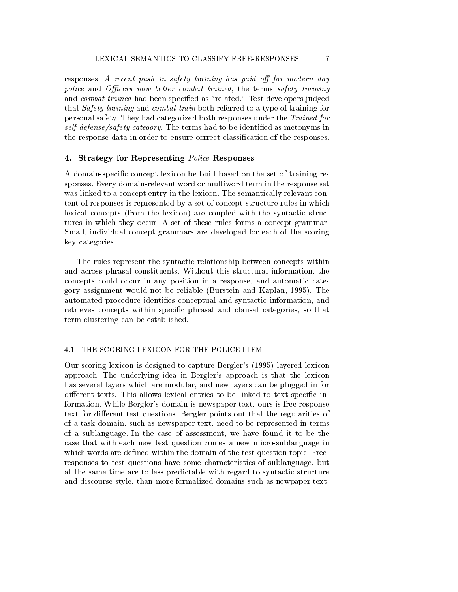responses, A recent push in safety training has paid off for modern day police and Officers now better combat trained, the terms safety training and combat trained had been specied as "related." Test developers judged that Safety training and combat train both referred to a type of training for personal safety. They had categorized both responses under the Trained for self-defense/safety category. The terms had to be identified as metonyms in the response data in order to ensure correct classification of the responses.

# 4. Strategy for Representing Police Responses

A domain-specic concept lexicon be built based on the set of training responses. Every domain-relevant word or multiword term in the response set was linked to a concept entry in the lexicon. The semantically relevant content of responses is represented by a set of concept-structure rules in which lexical concepts (from the lexicon) are coupled with the syntactic structures in which they occur. A set of these rules forms a concept grammar. Small, individual concept grammars are developed for each of the scoring key categories.

The rules represent the syntactic relationship between concepts within and across phrasal constituents. Without this structural information, the concepts could occur in any position in a response, and automatic category assignment would not be reliable (Burstein and Kaplan, 1995). The automated procedure identifies conceptual and syntactic information, and retrieves concepts within specific phrasal and clausal categories, so that term clustering can be established.

# 4.1. THE SCORING LEXICON FOR THE POLICE ITEM

Our scoring lexicon is designed to capture Bergler's (1995) layered lexicon approach. The underlying idea in Bergler's approach isthat the lexicon has several layers which are modular, and new layers can be plugged in for different texts. This allows lexical entries to be linked to text-specific information. While Bergler's domain is newspaper text, ours is free-response text for different test questions. Bergler points out that the regularities of of a task domain, such as newspaper text, need to be represented in terms of a sublanguage. In the case of assessment, we have found it to be the case that with each new test question comes a new micro-sublanguage in which words are defined within the domain of the test question topic. Freeresponses to test questions have some characteristics of sublanguage, but at the same time are to less predictable with regard to syntactic structure and discourse style, than more formalized domains such as newpaper text.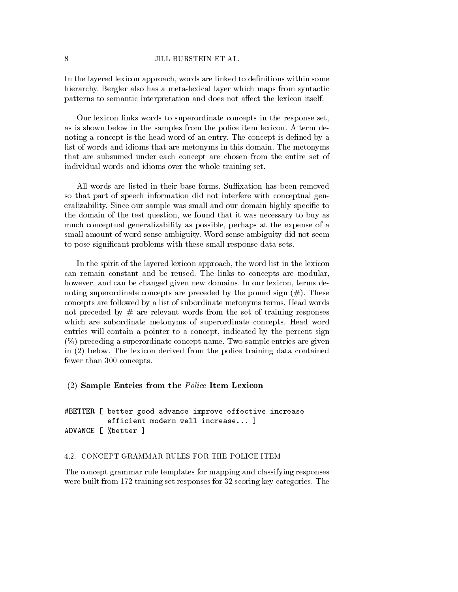## 8 JILL BURSTEIN ET AL.

In the layered lexicon approach, words are linked to definitions within some hierarchy. Bergler also has a meta-lexical layer which maps from syntactic patterns to semantic interpretation and does not affect the lexicon itself.

Our lexicon links words to superordinate concepts in the response set, as is shown below in the samples from the police item lexicon. A term denoting a concept is the head word of an entry. The concept is defined by a list of words and idioms that are metonyms in this domain. The metonyms that are subsumed under each concept are chosen from the entire set of individual words and idioms over the whole training set.

All words are listed in their base forms. Suffixation has been removed so that part of speech information did not interfere with conceptual generalizability. Since our sample was small and our domain highly specific to the domain of the test question, we found that it was necessary to buy as much conceptual generalizability as possible, perhaps at the expense of a small amount of word sense ambiguity. Word sense ambiguity did not seem to pose signicant problems with these small response data sets.

In the spirit of the layered lexicon approach, the word list in the lexicon can remain constant and be reused. The links to concepts are modular, however, and can be changed given new domains. In our lexicon, terms denoting superordinate concepts are preceded by the pound sign  $(\#)$ . These concepts are followed by a list of subordinate metonyms terms. Head words not preceded by  $#$  are relevant words from the set of training responses which are subordinate metonyms of superordinate concepts. Head word entries will contain a pointer to a concept, indicated by the percent sign (%) preceding a superordinate concept name. Two sample entries are given in (2) below. The lexicon derived from the police training data contained fewer than 300 concepts.

## (2) Sample Entries from the Police Item Lexicon

#BETTER [ better good advance improve effective increase efficient modern well increase... 1 efficient modern well increases that is a lower well in the contract of the contract of the contract of the co ADVANCE [ %better ]

# 4.2. CONCEPT GRAMMAR RULES FOR THE POLICE ITEM

The concept grammar rule templates for mapping and classifying responses were built from 172 training set responses for 32 scoring key categories. The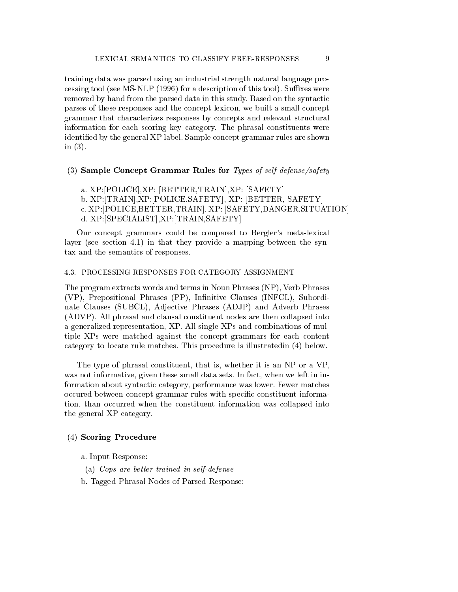training data was parsed using an industrial strength natural language processing tool (see MS-NLP  $(1996)$  for a description of this tool). Suffixes were removed by hand from the parsed data in this study. Based on the syntactic parses of these responses and the concept lexicon, we built a small concept grammar that characterizes responses by concepts and relevant structural information for each scoring key category. The phrasal constituents were identied by the general XP label. Sample concept grammar rules are shown in (3).

# (3) Sample Concept Grammar Rules for Types of self-defense/safety

- a. XP:[POLICE],XP: [BETTER,TRAIN],XP: [SAFETY]
- b. XP:[TRAIN],XP:[POLICE,SAFETY], XP: [BETTER, SAFETY]
- c. XP:[POLICE,BETTER,TRAIN], XP: [SAFETY,DANGER,SITUATION]
- d. XP:[SPECIALIST],XP:[TRAIN,SAFETY]

Our concept grammars could be compared to Bergler's meta-lexical layer (see section 4.1) in that they provide a mapping between the syntax and the semantics of responses.

### 4.3. PROCESSING RESPONSES FOR CATEGORY ASSIGNMENT

The program extracts words and terms in Noun Phrases (NP), Verb Phrases  $(VP)$ , Prepositional Phrases  $(PP)$ , Infinitive Clauses  $(INFCL)$ , Subordinate Clauses (SUBCL), Adjective Phrases (ADJP) and Adverb Phrases (ADVP). All phrasal and clausal constituent nodes are then collapsed into a generalized representation, XP. All single XPs and combinations of multiple XPs were matched against the concept grammars for each content category to locate rule matches. This procedure is illustratedin (4) below.

The type of phrasal constituent, that is, whether it is an NP or a VP, was not informative, given these small data sets. In fact, when we left in information about syntactic category, performance was lower. Fewer matches occured between concept grammar rules with specic constituent information, than occurred when the constituent information was collapsed into the general XP category.

## (4) Scoring Procedure

a. Input Response:

- (a) Cops are better trained in self-defense
- b. Tagged Phrasal Nodes of Parsed Response: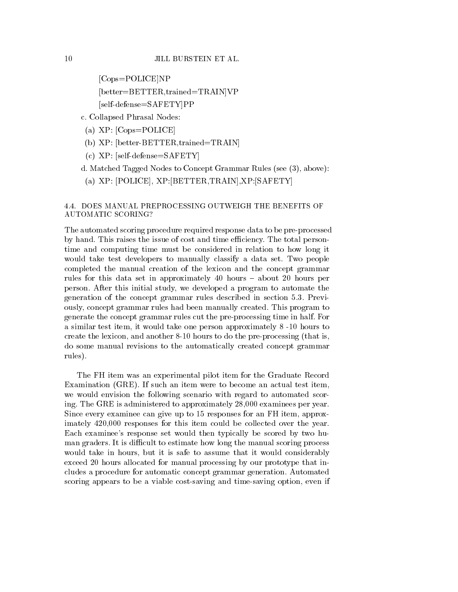```
[Cops=POLICE]NP
[better=BETTER,trained=TRAIN]VP
[self-defense=SAFETY]PP
```
- c. Collapsed Phrasal Nodes:
- (a) XP: [Cops=POLICE]
- (b) XP: [better-BETTER,trained=TRAIN]
- (c) XP: [self-defense=SAFETY]
- d. Matched Tagged Nodes to Concept Grammar Rules (see (3), above):
- (a) XP: [POLICE], XP:[BETTER,TRAIN],XP:[SAFETY]

# 4.4. DOES MANUAL PREPROCESSING OUTWEIGH THE BENEFITS OF AUTOMATIC SCORING?

The automated scoring procedure required response data to be pre-processed by hand. This raises the issue of cost and time efficiency. The total persontime and computing time must be considered in relation to how long it would take test developers to manually classify a data set. Two people completed the manual creation of the lexicon and the concept grammar rules for this data set in approximately 40 hours - about 20 hours per person. After this initial study, we developed a program to automate the generation of the concept grammar rules described in section 5.3. Previously, concept grammar rules had been manually created. This program to generate the concept grammar rules cut the pre-processing time in half. For a similar test item, it would take one person approximately 8 -10 hours to create the lexicon, and another 8-10 hours to do the pre-processing (that is, do some manual revisions to the automatically created concept grammar rules).

The FH item was an experimental pilot item for the Graduate Record Examination (GRE). If such an item were to become an actual test item, we would envision the following scenario with regard to automated scoring. The GRE is administered to approximately 28,000 examinees per year. Since every examinee can give up to 15 responses for an FH item, approximately 420,000 responses for this item could be collected over the year. Each examinee's response set would then typically be scored by two human graders. It is difficult to estimate how long the manual scoring process would take in hours, but it is safe to assume that it would considerably exceed 20 hours allocated for manual processing by our prototype that includes a procedure for automatic concept grammar generation. Automated scoring appears to be a viable cost-saving and time-saving option, even if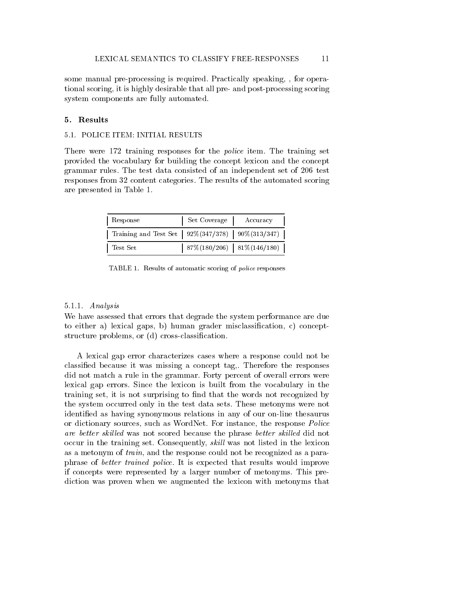some manual pre-processing is required. Practically speaking, , for operational scoring, it is highly desirable that all pre- and post-processing scoring system components are fully automated.

# 5. Results

## 5.1. POLICE ITEM: INITIAL RESULTS

There were 172 training responses for the *police* item. The training set provided the vocabulary for building the concept lexicon and the concept grammar rules. The test data consisted of an independent set of 206 test responses from 32 content categories. The results of the automated scoring are presented in Table 1.

| Response                                                  | Set Coverage | Accuracy                        |
|-----------------------------------------------------------|--------------|---------------------------------|
| Training and Test Set   $92\%(347/378)$   $90\%(313/347)$ |              |                                 |
| Test Set                                                  |              | $87\% (180/206)$ 81\% (146/180) |

TABLE 1. Results of automatic scoring of police responses

#### 5.1.1. Analysis

We have assessed that errors that degrade the system performance are due to either a) lexical gaps, b) human grader misclassification,  $c$ ) conceptstructure problems, or (d) cross-classification.

A lexical gap error characterizes cases where a response could not be classied because it was missing a concept tag,. Therefore the responses did not match a rule in the grammar. Forty percent of overall errors were lexical gap errors. Since the lexicon is built from the vocabulary in the training set, it is not surprising to find that the words not recognized by the system occurred only in the test data sets. These metonyms were not identied as having synonymous relations in any of our on-line thesaurus or dictionary sources, such as WordNet. For instance, the response Police are better skilled was not scored because the phrase better skilled did not occur in the training set. Consequently, *skill* was not listed in the lexicon as a metonym of train, and the response could not be recognized as a paraphrase of better trained police. It is expected that results would improve if concepts were represented by a larger number of metonyms. This prediction was proven when we augmented the lexicon with metonyms that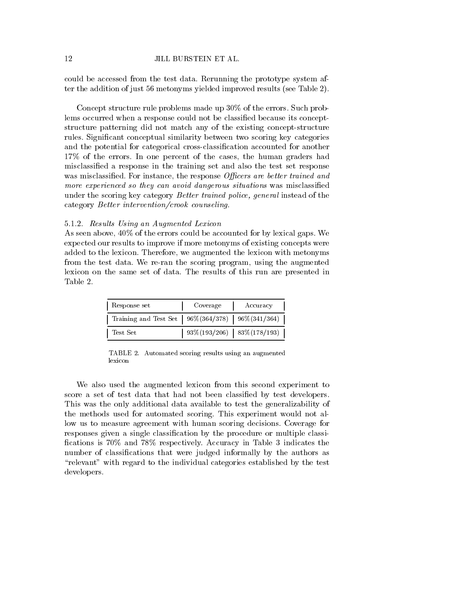could be accessed from the test data. Rerunning the prototype system after the addition of just 56 metonyms yielded improved results (see Table 2).

Concept structure rule problems made up 30% of the errors. Such problems occurred when a response could not be classified because its conceptstructure patterning did not match any of the existing concept-structure rules. Signicant conceptual similarity between two scoring key categories and the potential for categorical cross-classication accounted for another 17% of the errors. In one percent of the cases, the human graders had misclassied a response in the training set and also the test set response was misclassified. For instance, the response *Officers are better trained and* more experienced so they can avoid dangerous situations was misclassified under the scoring key category *Better trained police, general* instead of the category Better intervention/crook counseling.

# 5.1.2. Results Using an Augmented Lexicon

As seen above, 40% of the errors could be accounted for by lexical gaps. We expected our results to improve if more metonyms of existing concepts were added to the lexicon. Therefore, we augmented the lexicon with metonyms from the test data. We re-ran the scoring program, using the augmented lexicon on the same set of data. The results of this run are presented in Table 2.

| Response set                                              | Coverage | Accuracy                       |  |
|-----------------------------------------------------------|----------|--------------------------------|--|
| Training and Test Set   $96\%(364/378)$   $96\%(341/364)$ |          |                                |  |
| Test Set                                                  |          | $93\%(193/206)$ 83\% (178/193) |  |

TABLE 2. Automated scoring results using an augmented lexicon

We also used the augmented lexicon from this second experiment to score a set of test data that had not been classied by test developers. This was the only additional data available to test the generalizability of the methods used for automated scoring. This experiment would not allow us to measure agreement with human scoring decisions. Coverage for responses given a single classication by the procedure or multiple classi fications is 70% and 78% respectively. Accuracy in Table 3 indicates the number of classifications that were judged informally by the authors as \relevant" with regard to the individual categories established by the test developers.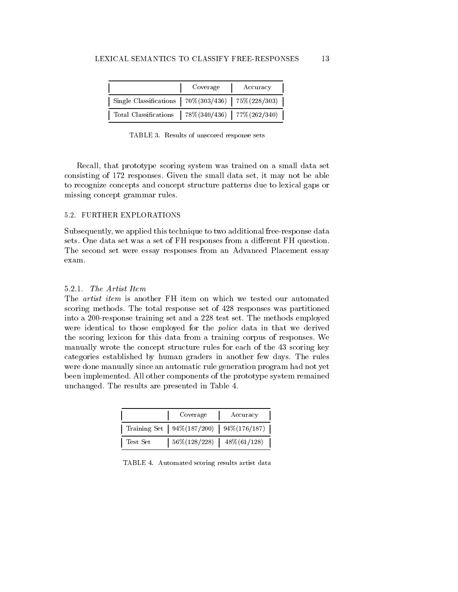|                                                              | Coverage | Accuracy |
|--------------------------------------------------------------|----------|----------|
| Single Classifications   $70\% (303/436)$   $75\% (228/303)$ |          |          |
| Total Classifications   78%(340/436)   77%(262/340)          |          |          |

TABLE 3. Results of unscored response sets

Recall, that prototype scoring system was trained on a small data set consisting of 172 responses. Given the small data set, it may not be able to recognize concepts and concept structure patterns due to lexical gaps or missing concept grammar rules.

# 5.2. FURTHER EXPLORATIONS

Subsequently, we applied this technique to two additional free-response data sets. One data set was a set of FH responses from a different FH question. The second set were essay responses from an Advanced Placement essay exam.

# 5.2.1. The Artist Item

The artist item is another FH item on which we tested our automated scoring methods. The total response set of 428 responses was partitioned into a 200-response training set and a 228 test set. The methods employed were identical to those employed for the police data in that we derived the scoring lexicon for this data from a training corpus of responses. We manually wrote the concept structure rules for each of the 43 scoring key categories established by human graders in another few days. The rules were done manually since an automatic rule generation program had not yet been implemented. All other components of the prototype system remained unchanged. The results are presented in Table 4.

|          | Coverage                                           | Accuracy |
|----------|----------------------------------------------------|----------|
|          | Training Set   $94\% (187/200)$   $94\% (176/187)$ |          |
| Test Set | $56\%(128/228)$ 48\% $(61/128)$                    |          |

TABLE 4. Automated scoring results artist data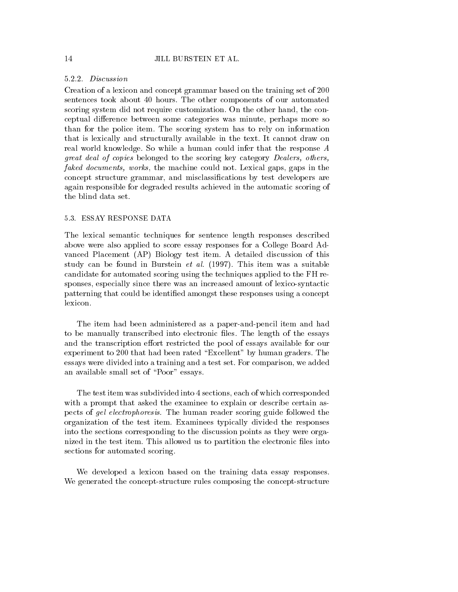## 5.2.2. Discussion

Creation of a lexicon and concept grammar based on the training set of 200 sentences took about 40 hours. The other components of our automated scoring system did not require customization. On the other hand, the conceptual difference between some categories was minute, perhaps more so than for the police item. The scoring system has to rely on information that is lexically and structurally available in the text. It cannot draw on real world knowledge. So while a human could infer that the response A great deal of copies belonged to the scoring key category Dealers, others, faked documents, works, the machine could not. Lexical gaps, gaps in the concept structure grammar, and misclassications by test developers are again responsible for degraded results achieved in the automatic scoring of the blind data set.

## 5.3. ESSAY RESPONSE DATA

The lexical semantic techniques for sentence length responses described above were also applied to score essay responses for a College Board Advanced Placement (AP) Biology test item. A detailed discussion of this study can be found in Burstein et al. (1997). This item was a suitable candidate for automated scoring using the techniques applied to the FH responses, especially since there was an increased amount of lexico-syntactic patterning that could be identied amongst these responses using a concept lexicon.

The item had been administered as a paper-and-pencil item and had to be manually transcribed into electronic files. The length of the essays and the transcription effort restricted the pool of essays available for our experiment to 200 that had been rated \Excellent" by human graders. The essays were divided into a training and a test set. For comparison, we added an available small set of "Poor" essays.

The test item was subdivided into 4 sections, each of which corresponded with a prompt that asked the examinee to explain or describe certain aspects of gel electrophoresis. The human reader scoring guide followed the organization of the test item. Examinees typically divided the responses into the sections corresponding to the discussion points as they were organized in the test item. This allowed us to partition the electronic files into sections for automated scoring.

We developed a lexicon based on the training data essay responses. We generated the concept-structure rules composing the concept-structure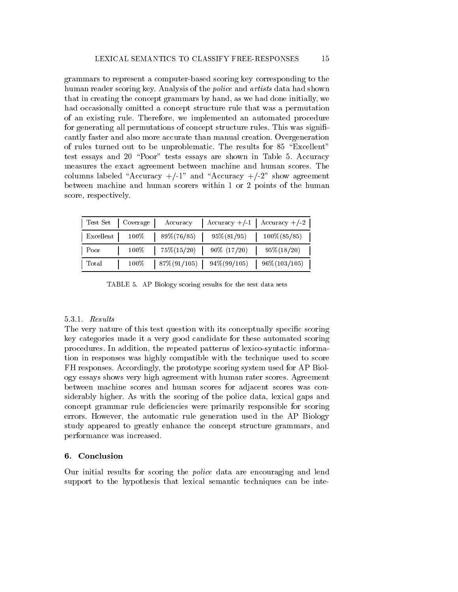grammars to represent a computer-based scoring key corresponding to the human reader scoring key. Analysis of the *police* and *artists* data had shown that in creating the concept grammars by hand, as we had done initially, we had occasionally omitted a concept structure rule that was a permutation of an existing rule. Therefore, we implemented an automated procedure for generating all permutations of concept structure rules. This was significantly faster and also more accurate than manual creation. Overgeneration of rules turned out to be unproblematic. The results for 85 "Excellent" test essays and 20 "Poor" tests essays are shown in Table 5. Accuracy measures the exact agreement between machine and human scores. The columns labeled "Accuracy  $+/-1$ " and "Accuracy  $+/-2$ " show agreement between machine and human scorers within 1 or 2 points of the human score, respectively.

|       |                                     | Test Set   Coverage   Accuracy   Accuracy +/-1   Accuracy +/-2 |
|-------|-------------------------------------|----------------------------------------------------------------|
|       | Excellent   $100\%$   $89\%(76/85)$ | $95\%(81/95)$   $100\%(85/85)$                                 |
| Poor  |                                     | $100\%$   $75\%(15/20)$   $90\%$ $(17/20)$   $95\%(18/20)$     |
| Total |                                     | $100\%$   87\%(91/105)   94\%(99/105)   96\%(103/105)          |

TABLE 5. AP Biology scoring results for the test data sets

# $5.3.1$ . Results

The very nature of this test question with its conceptually specic scoring key categories made it a very good candidate for these automated scoring procedures. In addition, the repeated patterns of lexico-syntactic information in responses was highly compatible with the technique used to score FH responses. Accordingly, the prototype scoring system used for AP Biology essays shows very high agreement with human rater scores. Agreement between machine scores and human scores for adjacent scores was considerably higher. As with the scoring of the police data, lexical gaps and concept grammar rule deficiencies were primarily responsible for scoring errors. However, the automatic rule generation used in the AP Biology study appeared to greatly enhance the concept structure grammars, and performance was increased.

## 6. Conclusion

Our initial results for scoring the police data are encouraging and lend support to the hypothesis that lexical semantic techniques can be inte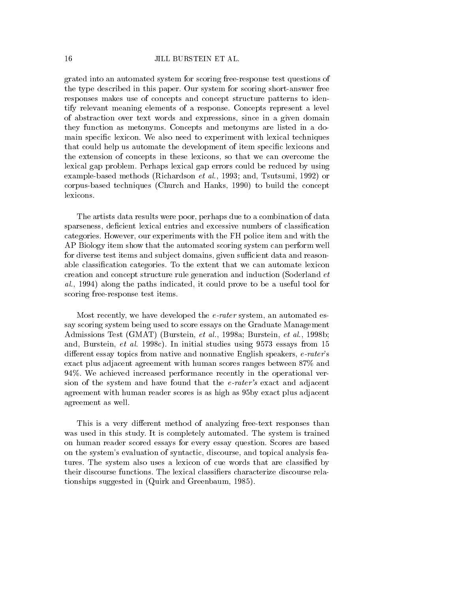grated into an automated system for scoring free-response test questions of the type described in this paper. Our system for scoring short-answer free responses makes use of concepts and concept structure patterns to identify relevant meaning elements of a response. Concepts represent a level of abstraction over text words and expressions, since in a given domain they function as metonyms. Concepts and metonyms are listed in a domain specific lexicon. We also need to experiment with lexical techniques that could help us automate the development of item specic lexicons and the extension of concepts in these lexicons, so that we can overcome the lexical gap problem. Perhaps lexical gap errors could be reduced by using example-based methods (Richardson et al., 1993; and, Tsutsumi, 1992) or corpus-based techniques (Church and Hanks, 1990) to build the concept

The artists data results were poor, perhaps due to a combination of data sparseness, deficient lexical entries and excessive numbers of classification categories. However, our experiments with the FH police item and with the AP Biology item show that the automated scoring system can perform well for diverse test items and subject domains, given sufficient data and reasonable classication categories. To the extent that we can automate lexicon creation and concept structure rule generation and induction (Soderland et al., 1994) along the paths indicated, it could prove to be a useful tool for scoring free-response test items.

Most recently, we have developed the *e-rater* system, an automated essay scoring system being used to score essays on the Graduate Management Admissions Test (GMAT) (Burstein, et al., 1998a; Burstein, et al., 1998b; and, Burstein, et al. 1998c). In initial studies using 9573 essays from 15 different essay topics from native and nonnative English speakers, e-rater's exact plus adjacent agreement with human scores ranges between 87% and 94%. We achieved increased performance recently in the operational version of the system and have found that the e-rater's exact and adjacent agreement with human reader scores is as high as 95by exact plus adjacent agreement as well.

This is a very different method of analyzing free-text responses than was used in this study. It is completely automated. The system is trained on human reader scored essays for every essay question. Scores are based on the system's evaluation of syntactic, discourse, and topical analysis features. The system also uses a lexicon of cue words that are classified by their discourse functions. The lexical classiers characterize discourse relationships suggested in (Quirk and Greenbaum, 1985).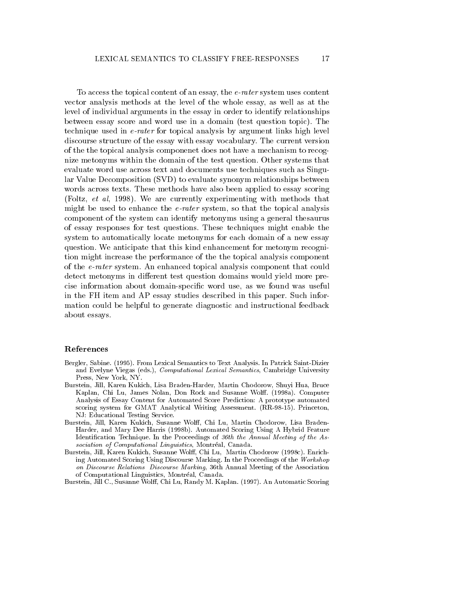To access the topical content of an essay, the e-rater system uses content vector analysis methods at the level of the whole essay, as well as at the level of individual arguments in the essay in order to identify relationships between essay score and word use in a domain (test question topic). The technique used in e-rater for topical analysis by argument links high level discourse structure of the essay with essay vocabulary. The current version of the the topical analysis componenet does not have a mechanism to recognize metonyms within the domain of the test question. Other systems that evaluate word use across text and documents use techniques such as Singular Value Decomposition (SVD) to evaluate synonym relationships between words across texts. These methods have also been applied to essay scoring (Foltz, et al, 1998). We are currently experimenting with methods that might be used to enhance the  $e$ -rater system, so that the topical analysis component of the system can identify metonyms using a general thesaurus of essay responses for test questions. These techniques might enable the system to automatically locate metonyms for each domain of a new essay question. We anticipate that this kind enhancement for metonym recognition might increase the performance of the the topical analysis component of the e-rater system. An enhanced topical analysis component that could detect metonyms in different test question domains would yield more precise information about domain-specic word use,as we found was useful in the FH item andAP essay studies described in this paper. Such information could be helpful to generate diagnostic and instructional feedback about essays.

#### References

- Bergler, Sabine. (1995). From Lexical Semantics to Text Analysis. In Patrick Saint-Dizier and Evelyne Viegas (eds.), *Computational Lexical Semantics*, Cambridge University Press, New York, NY.
- Burstein, Jill, Karen Kukich, Lisa Braden-Harder, Martin Chodorow, Shuyi Hua, Bruce Kaplan, Chi Lu, James Nolan, Don Rock and Susanne Wolff. (1998a). Computer Analysis of Essay Content for Automated Score Prediction: A prototype automated scoring system for GMAT Analytical Writing Assessment. (RR-98-15). Princeton, NJ: Educational Testing Service.
- Burstein, Jill, Karen Kukich, Susanne Wolff, Chi Lu, Martin Chodorow, Lisa Braden-Harder, and Mary Dee Harris (1998b). Automated Scoring Using A Hybrid Feature Identication Technique. In the Proceedings of 36th the Annual Meeting of the As sociation of Computational Linguistics, Montréal, Canada.
- Burstein, Jill, Karen Kukich, Susanne Wolff, Chi Lu, Martin Chodorow (1998c). Enriching Automated Scoring Using Discourse Marking. In the Proceedings of the Workshop on Discourse Relations Discourse Marking, 36th Annual Meeting of the Association of Computational Linguistics, Montreal, Canada.
- Burstein, Jill C., Susanne Wolff, Chi Lu, Randy M. Kaplan. (1997). An Automatic Scoring